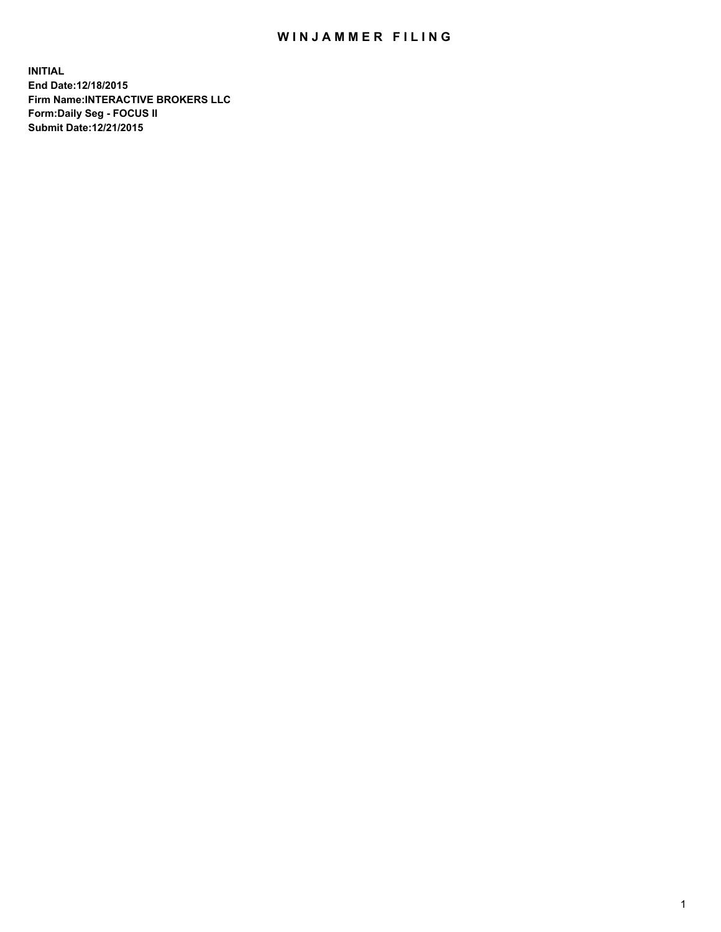## WIN JAMMER FILING

**INITIAL End Date:12/18/2015 Firm Name:INTERACTIVE BROKERS LLC Form:Daily Seg - FOCUS II Submit Date:12/21/2015**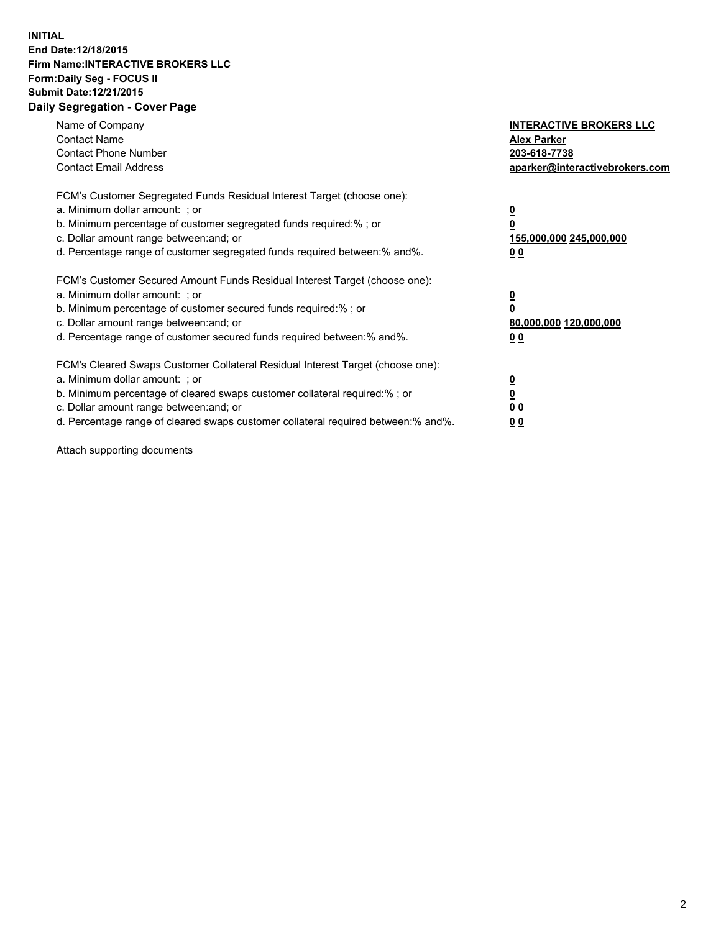## **INITIAL End Date:12/18/2015 Firm Name:INTERACTIVE BROKERS LLC Form:Daily Seg - FOCUS II Submit Date:12/21/2015 Daily Segregation - Cover Page**

| Name of Company<br><b>Contact Name</b><br><b>Contact Phone Number</b><br><b>Contact Email Address</b>                                                                                                                                                                                                                         | <b>INTERACTIVE BROKERS LLC</b><br><b>Alex Parker</b><br>203-618-7738<br>aparker@interactivebrokers.com |
|-------------------------------------------------------------------------------------------------------------------------------------------------------------------------------------------------------------------------------------------------------------------------------------------------------------------------------|--------------------------------------------------------------------------------------------------------|
| FCM's Customer Segregated Funds Residual Interest Target (choose one):<br>a. Minimum dollar amount: ; or<br>b. Minimum percentage of customer segregated funds required:% ; or<br>c. Dollar amount range between: and; or<br>d. Percentage range of customer segregated funds required between:% and%.                        | <u>0</u><br><u>155,000,000 245,000,000</u><br>00                                                       |
| FCM's Customer Secured Amount Funds Residual Interest Target (choose one):<br>a. Minimum dollar amount: ; or<br>b. Minimum percentage of customer secured funds required:% ; or<br>c. Dollar amount range between: and; or<br>d. Percentage range of customer secured funds required between: % and %.                        | $\overline{\mathbf{0}}$<br>80,000,000 120,000,000<br>00                                                |
| FCM's Cleared Swaps Customer Collateral Residual Interest Target (choose one):<br>a. Minimum dollar amount: ; or<br>b. Minimum percentage of cleared swaps customer collateral required:%; or<br>c. Dollar amount range between: and; or<br>d. Percentage range of cleared swaps customer collateral required between:% and%. | <u>0</u><br>0 <sub>0</sub><br><u>00</u>                                                                |

Attach supporting documents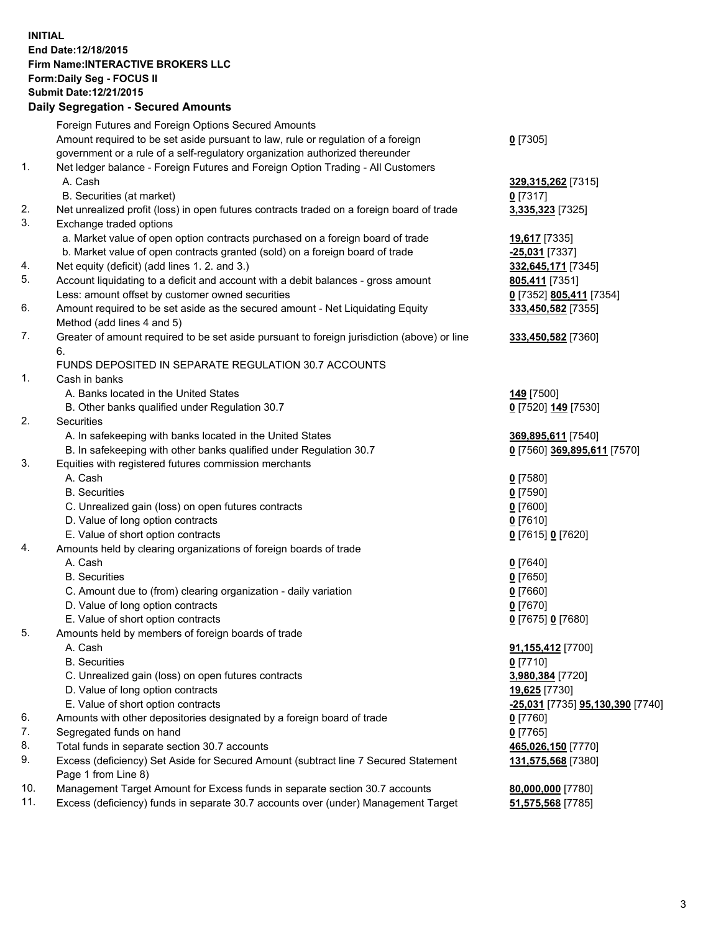## **INITIAL End Date:12/18/2015 Firm Name:INTERACTIVE BROKERS LLC Form:Daily Seg - FOCUS II Submit Date:12/21/2015 Daily Segregation - Secured Amounts**

|                | Daily Ocglegation - Occuled Amounts                                                         |                                  |
|----------------|---------------------------------------------------------------------------------------------|----------------------------------|
|                | Foreign Futures and Foreign Options Secured Amounts                                         |                                  |
|                | Amount required to be set aside pursuant to law, rule or regulation of a foreign            | $0$ [7305]                       |
|                | government or a rule of a self-regulatory organization authorized thereunder                |                                  |
| 1.             | Net ledger balance - Foreign Futures and Foreign Option Trading - All Customers             |                                  |
|                | A. Cash                                                                                     | 329, 315, 262 [7315]             |
|                | B. Securities (at market)                                                                   | $0$ [7317]                       |
| 2.             | Net unrealized profit (loss) in open futures contracts traded on a foreign board of trade   | 3,335,323 [7325]                 |
| 3.             | Exchange traded options                                                                     |                                  |
|                | a. Market value of open option contracts purchased on a foreign board of trade              | <b>19,617</b> [7335]             |
|                | b. Market value of open contracts granted (sold) on a foreign board of trade                | $-25,031$ [7337]                 |
| 4.             | Net equity (deficit) (add lines 1.2. and 3.)                                                | 332,645,171 [7345]               |
| 5.             | Account liquidating to a deficit and account with a debit balances - gross amount           | 805,411 [7351]                   |
|                | Less: amount offset by customer owned securities                                            | 0 [7352] 805,411 [7354]          |
| 6.             | Amount required to be set aside as the secured amount - Net Liquidating Equity              | 333,450,582 [7355]               |
|                | Method (add lines 4 and 5)                                                                  |                                  |
| 7.             | Greater of amount required to be set aside pursuant to foreign jurisdiction (above) or line | 333,450,582 [7360]               |
|                | 6.                                                                                          |                                  |
|                | FUNDS DEPOSITED IN SEPARATE REGULATION 30.7 ACCOUNTS                                        |                                  |
| $\mathbf{1}$ . | Cash in banks                                                                               |                                  |
|                | A. Banks located in the United States                                                       | <b>149</b> [7500]                |
|                | B. Other banks qualified under Regulation 30.7                                              | 0 [7520] 149 [7530]              |
| 2.             | Securities                                                                                  |                                  |
|                | A. In safekeeping with banks located in the United States                                   | 369,895,611 [7540]               |
|                | B. In safekeeping with other banks qualified under Regulation 30.7                          | 0 [7560] 369,895,611 [7570]      |
| 3.             | Equities with registered futures commission merchants                                       |                                  |
|                | A. Cash                                                                                     | $0$ [7580]                       |
|                | <b>B.</b> Securities                                                                        | $0$ [7590]                       |
|                | C. Unrealized gain (loss) on open futures contracts                                         | $0$ [7600]                       |
|                | D. Value of long option contracts                                                           | $0$ [7610]                       |
|                | E. Value of short option contracts                                                          | 0 [7615] 0 [7620]                |
| 4.             | Amounts held by clearing organizations of foreign boards of trade                           |                                  |
|                | A. Cash                                                                                     | $0$ [7640]                       |
|                | <b>B.</b> Securities                                                                        | $0$ [7650]                       |
|                | C. Amount due to (from) clearing organization - daily variation                             | $0$ [7660]                       |
|                | D. Value of long option contracts                                                           | $0$ [7670]                       |
| 5.             | E. Value of short option contracts                                                          | 0 [7675] 0 [7680]                |
|                | Amounts held by members of foreign boards of trade                                          |                                  |
|                | A. Cash<br><b>B.</b> Securities                                                             | 91,155,412 [7700]                |
|                |                                                                                             | $0$ [7710]<br>3,980,384 [7720]   |
|                | C. Unrealized gain (loss) on open futures contracts<br>D. Value of long option contracts    | 19,625 [7730]                    |
|                | E. Value of short option contracts                                                          | -25,031 [7735] 95,130,390 [7740] |
| 6.             | Amounts with other depositories designated by a foreign board of trade                      |                                  |
| 7.             | Segregated funds on hand                                                                    | 0 [7760]<br>$0$ [7765]           |
| 8.             | Total funds in separate section 30.7 accounts                                               | 465,026,150 [7770]               |
| 9.             | Excess (deficiency) Set Aside for Secured Amount (subtract line 7 Secured Statement         | 131,575,568 [7380]               |
|                | Page 1 from Line 8)                                                                         |                                  |
| 10.            | Management Target Amount for Excess funds in separate section 30.7 accounts                 | 80,000,000 [7780]                |
| 11.            | Excess (deficiency) funds in separate 30.7 accounts over (under) Management Target          | 51,575,568 [7785]                |
|                |                                                                                             |                                  |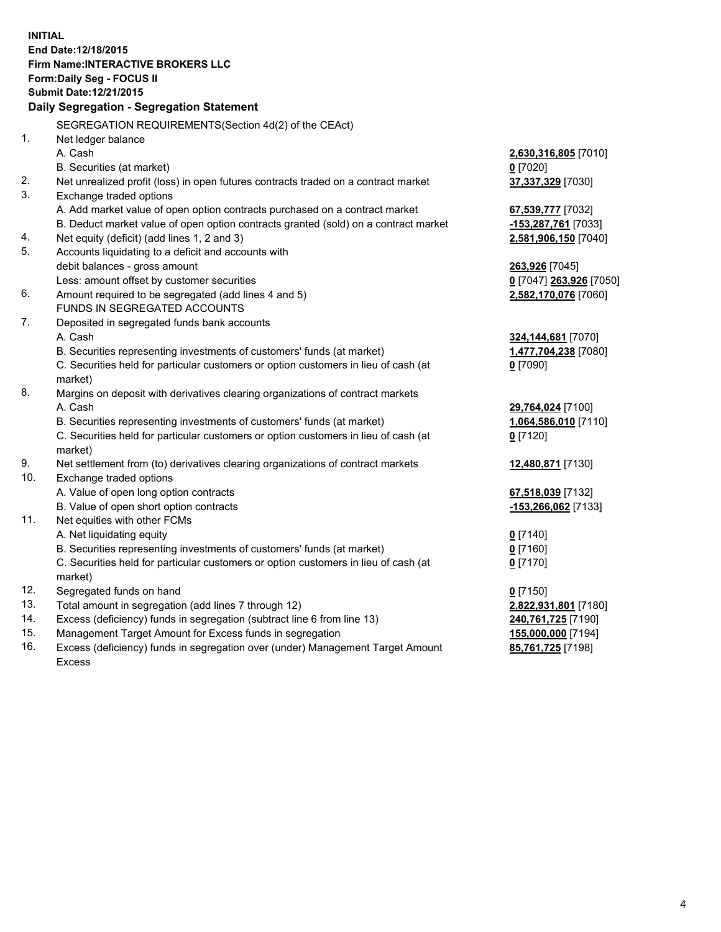**INITIAL End Date:12/18/2015 Firm Name:INTERACTIVE BROKERS LLC Form:Daily Seg - FOCUS II Submit Date:12/21/2015 Daily Segregation - Segregation Statement** SEGREGATION REQUIREMENTS(Section 4d(2) of the CEAct) 1. Net ledger balance A. Cash **2,630,316,805** [7010] B. Securities (at market) **0** [7020] 2. Net unrealized profit (loss) in open futures contracts traded on a contract market **37,337,329** [7030] 3. Exchange traded options A. Add market value of open option contracts purchased on a contract market **67,539,777** [7032] B. Deduct market value of open option contracts granted (sold) on a contract market **-153,287,761** [7033] 4. Net equity (deficit) (add lines 1, 2 and 3) **2,581,906,150** [7040] 5. Accounts liquidating to a deficit and accounts with debit balances - gross amount **263,926** [7045] Less: amount offset by customer securities **0** [7047] **263,926** [7050] 6. Amount required to be segregated (add lines 4 and 5) **2,582,170,076** [7060] FUNDS IN SEGREGATED ACCOUNTS 7. Deposited in segregated funds bank accounts A. Cash **324,144,681** [7070] B. Securities representing investments of customers' funds (at market) **1,477,704,238** [7080] C. Securities held for particular customers or option customers in lieu of cash (at market) **0** [7090] 8. Margins on deposit with derivatives clearing organizations of contract markets A. Cash **29,764,024** [7100] B. Securities representing investments of customers' funds (at market) **1,064,586,010** [7110] C. Securities held for particular customers or option customers in lieu of cash (at market) **0** [7120] 9. Net settlement from (to) derivatives clearing organizations of contract markets **12,480,871** [7130] 10. Exchange traded options A. Value of open long option contracts **67,518,039** [7132] B. Value of open short option contracts **-153,266,062** [7133] 11. Net equities with other FCMs A. Net liquidating equity **0** [7140] B. Securities representing investments of customers' funds (at market) **0** [7160] C. Securities held for particular customers or option customers in lieu of cash (at market) **0** [7170] 12. Segregated funds on hand **0** [7150] 13. Total amount in segregation (add lines 7 through 12) **2,822,931,801** [7180] 14. Excess (deficiency) funds in segregation (subtract line 6 from line 13) **240,761,725** [7190] 15. Management Target Amount for Excess funds in segregation **155,000,000** [7194] **85,761,725** [7198]

16. Excess (deficiency) funds in segregation over (under) Management Target Amount Excess